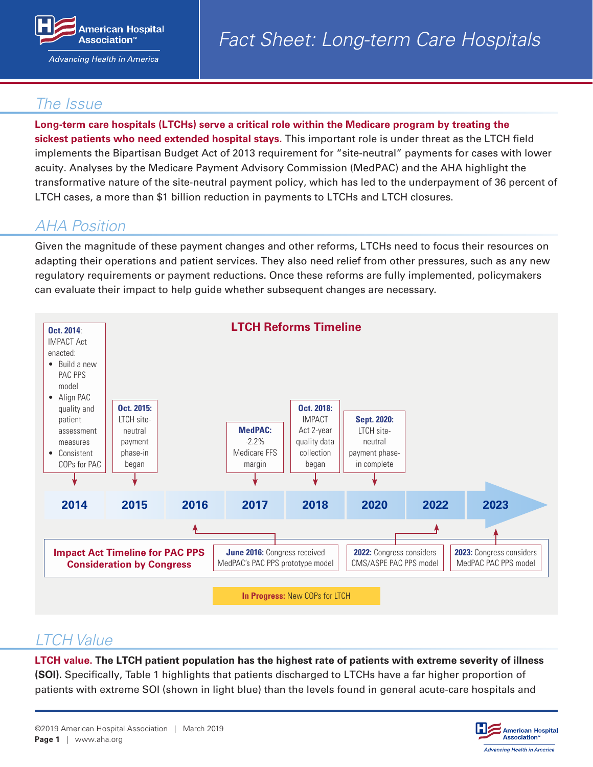

Advancing Health in America

## *The Issue*

**Long-term care hospitals (LTCHs) serve a critical role within the Medicare program by treating the sickest patients who need extended hospital stays.** This important role is under threat as the LTCH field implements the Bipartisan Budget Act of 2013 requirement for "site-neutral" payments for cases with lower acuity. Analyses by the Medicare Payment Advisory Commission (MedPAC) and the AHA highlight the transformative nature of the site-neutral payment policy, which has led to the underpayment of 36 percent of LTCH cases, a more than \$1 billion reduction in payments to LTCHs and LTCH closures.

# *AHA Position*

Given the magnitude of these payment changes and other reforms, LTCHs need to focus their resources on adapting their operations and patient services. They also need relief from other pressures, such as any new regulatory requirements or payment reductions. Once these reforms are fully implemented, policymakers can evaluate their impact to help guide whether subsequent changes are necessary.



### *LTCH Value*

**LTCH value. The LTCH patient population has the highest rate of patients with extreme severity of illness (SOI).** Specifically, Table 1 highlights that patients discharged to LTCHs have a far higher proportion of patients with extreme SOI (shown in light blue) than the levels found in general acute-care hospitals and